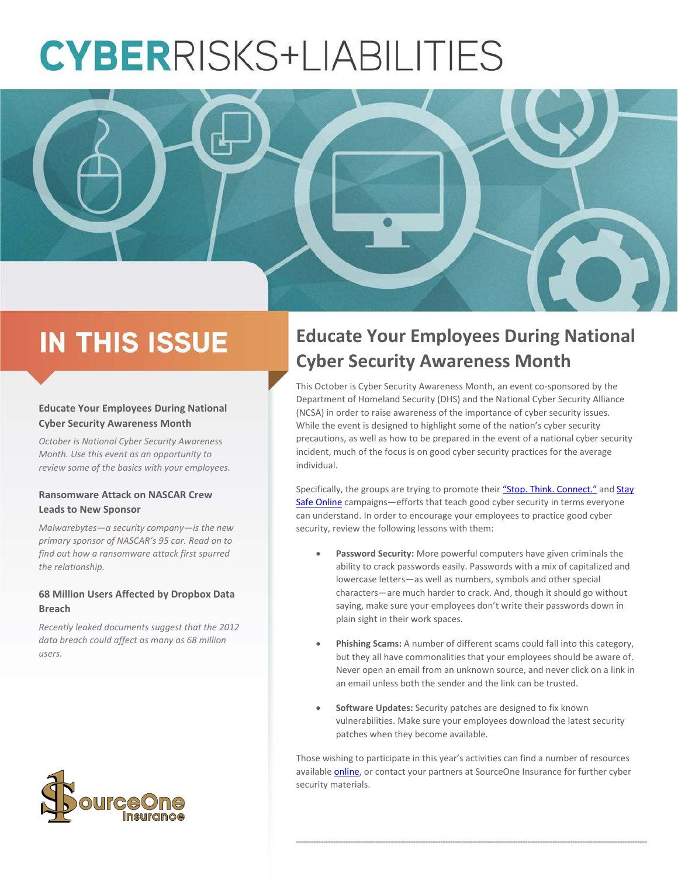# **CYBERRISKS+LIABILITIES**



## **IN THIS ISSUE**

#### **Educate Your Employees During National Cyber Security Awareness Month**

*October is National Cyber Security Awareness Month. Use this event as an opportunity to review some of the basics with your employees.*

#### **Ransomware Attack on NASCAR Crew Leads to New Sponsor**

*Malwarebytes—a security company—is the new primary sponsor of NASCAR's 95 car. Read on to find out how a ransomware attack first spurred the relationship.*

#### **68 Million Users Affected by Dropbox Data Breach**

*Recently leaked documents suggest that the 2012 data breach could affect as many as 68 million users.*

## **Educate Your Employees During National Cyber Security Awareness Month**

This October is Cyber Security Awareness Month, an event co-sponsored by the Department of Homeland Security (DHS) and the National Cyber Security Alliance (NCSA) in order to raise awareness of the importance of cyber security issues. While the event is designed to highlight some of the nation's cyber security precautions, as well as how to be prepared in the event of a national cyber security incident, much of the focus is on good cyber security practices for the average individual.

Specifically, the groups are trying to promote their ["Stop. Think. Connect."](https://www.dhs.gov/stopthinkconnect-campaign-blog) and Stay [Safe Online](https://staysafeonline.org/) campaigns—efforts that teach good cyber security in terms everyone can understand. In order to encourage your employees to practice good cyber security, review the following lessons with them:

- **Password Security:** More powerful computers have given criminals the ability to crack passwords easily. Passwords with a mix of capitalized and lowercase letters—as well as numbers, symbols and other special characters—are much harder to crack. And, though it should go without saying, make sure your employees don't write their passwords down in plain sight in their work spaces.
- **Phishing Scams:** A number of different scams could fall into this category, but they all have commonalities that your employees should be aware of. Never open an email from an unknown source, and never click on a link in an email unless both the sender and the link can be trusted.
- **Software Updates:** Security patches are designed to fix known vulnerabilities. Make sure your employees download the latest security patches when they become available.

Those wishing to participate in this year's activities can find a number of resources available [online,](https://www.dhs.gov/publication/national-cyber-security-awareness-month-resources) or contact your partners at SourceOne Insurance for further cyber security materials.